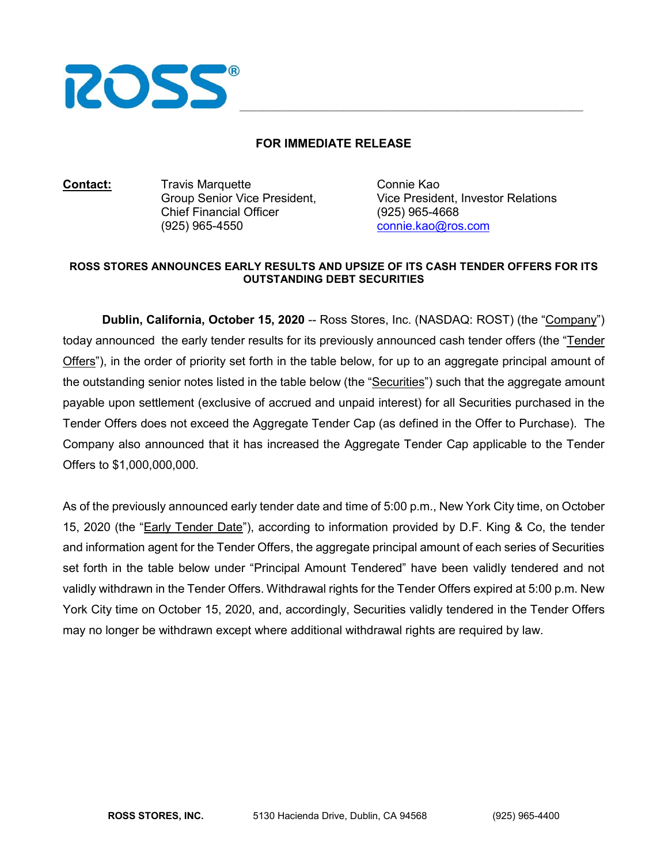

## **FOR IMMEDIATE RELEASE**

**Contact:** Travis Marquette Connie Kao Chief Financial Officer (925) 965-4668 (925) 965-4550 [connie.kao@ros.com](mailto:connie.kao@ros.com)

Vice President, Investor Relations

## **ROSS STORES ANNOUNCES EARLY RESULTS AND UPSIZE OF ITS CASH TENDER OFFERS FOR ITS OUTSTANDING DEBT SECURITIES**

**Dublin, California, October 15, 2020** -- Ross Stores, Inc. (NASDAQ: ROST) (the "Company") today announced the early tender results for its previously announced cash tender offers (the "Tender Offers"), in the order of priority set forth in the table below, for up to an aggregate principal amount of the outstanding senior notes listed in the table below (the "Securities") such that the aggregate amount payable upon settlement (exclusive of accrued and unpaid interest) for all Securities purchased in the Tender Offers does not exceed the Aggregate Tender Cap (as defined in the Offer to Purchase). The Company also announced that it has increased the Aggregate Tender Cap applicable to the Tender Offers to \$1,000,000,000.

As of the previously announced early tender date and time of 5:00 p.m., New York City time, on October 15, 2020 (the "Early Tender Date"), according to information provided by D.F. King & Co, the tender and information agent for the Tender Offers, the aggregate principal amount of each series of Securities set forth in the table below under "Principal Amount Tendered" have been validly tendered and not validly withdrawn in the Tender Offers. Withdrawal rights for the Tender Offers expired at 5:00 p.m. New York City time on October 15, 2020, and, accordingly, Securities validly tendered in the Tender Offers may no longer be withdrawn except where additional withdrawal rights are required by law.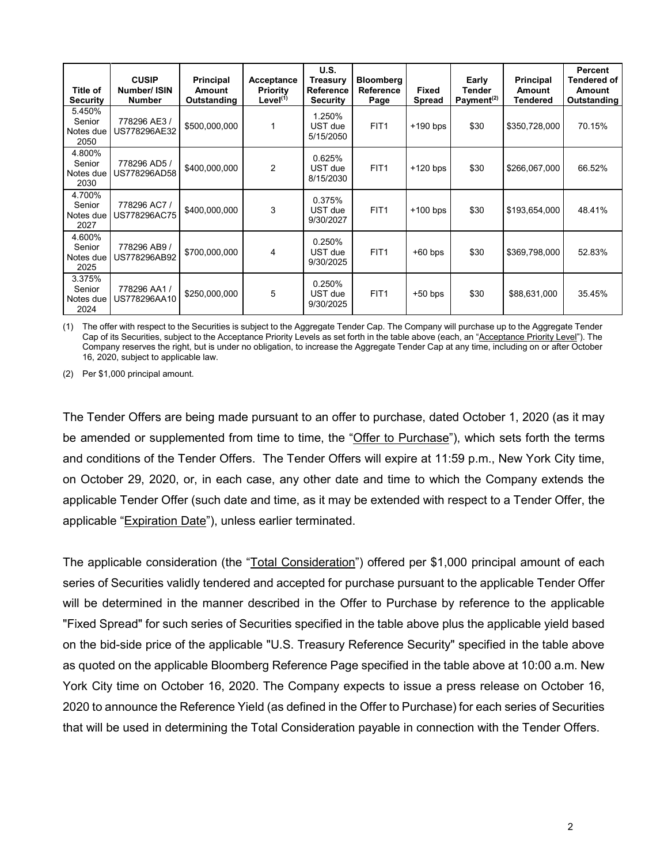| Title of<br><b>Security</b>           | <b>CUSIP</b><br>Number/ ISIN<br><b>Number</b> | Principal<br>Amount<br>Outstanding | Acceptance<br><b>Priority</b><br>Level $(1)$ | U.S.<br>Treasury<br>Reference<br><b>Security</b> | <b>Bloomberg</b><br>Reference<br>Page | Fixed<br><b>Spread</b> | Early<br><b>Tender</b><br>Payment <sup>(2)</sup> | Principal<br><b>Amount</b><br>Tendered | Percent<br><b>Tendered of</b><br>Amount<br>Outstanding |
|---------------------------------------|-----------------------------------------------|------------------------------------|----------------------------------------------|--------------------------------------------------|---------------------------------------|------------------------|--------------------------------------------------|----------------------------------------|--------------------------------------------------------|
| 5.450%<br>Senior<br>Notes due<br>2050 | 778296 AE3 /<br>US778296AE32                  | \$500,000,000                      |                                              | 1.250%<br>UST due<br>5/15/2050                   | FIT <sub>1</sub>                      | $+190$ bps             | \$30                                             | \$350,728,000                          | 70.15%                                                 |
| 4.800%<br>Senior<br>Notes due<br>2030 | 778296 AD5 /<br>US778296AD58                  | \$400,000,000                      | $\overline{2}$                               | 0.625%<br>UST due<br>8/15/2030                   | FIT <sub>1</sub>                      | $+120$ bps             | \$30                                             | \$266,067,000                          | 66.52%                                                 |
| 4.700%<br>Senior<br>Notes due<br>2027 | 778296 AC7 /<br>US778296AC75                  | \$400,000,000                      | 3                                            | 0.375%<br>UST due<br>9/30/2027                   | FIT <sub>1</sub>                      | $+100$ bps             | \$30                                             | \$193,654,000                          | 48.41%                                                 |
| 4.600%<br>Senior<br>Notes due<br>2025 | 778296 AB9 /<br>US778296AB92                  | \$700,000,000                      | 4                                            | 0.250%<br>UST due<br>9/30/2025                   | FIT <sub>1</sub>                      | $+60$ bps              | \$30                                             | \$369,798,000                          | 52.83%                                                 |
| 3.375%<br>Senior<br>Notes due<br>2024 | 778296 AA1 /<br>US778296AA10                  | \$250,000,000                      | 5                                            | 0.250%<br>UST due<br>9/30/2025                   | FIT <sub>1</sub>                      | $+50$ bps              | \$30                                             | \$88,631,000                           | 35.45%                                                 |

(1) The offer with respect to the Securities is subject to the Aggregate Tender Cap. The Company will purchase up to the Aggregate Tender Cap of its Securities, subject to the Acceptance Priority Levels as set forth in the table above (each, an "Acceptance Priority Level"). The Company reserves the right, but is under no obligation, to increase the Aggregate Tender Cap at any time, including on or after October 16, 2020, subject to applicable law.

(2) Per \$1,000 principal amount.

The Tender Offers are being made pursuant to an offer to purchase, dated October 1, 2020 (as it may be amended or supplemented from time to time, the "Offer to Purchase"), which sets forth the terms and conditions of the Tender Offers. The Tender Offers will expire at 11:59 p.m., New York City time, on October 29, 2020, or, in each case, any other date and time to which the Company extends the applicable Tender Offer (such date and time, as it may be extended with respect to a Tender Offer, the applicable "Expiration Date"), unless earlier terminated.

The applicable consideration (the "Total Consideration") offered per \$1,000 principal amount of each series of Securities validly tendered and accepted for purchase pursuant to the applicable Tender Offer will be determined in the manner described in the Offer to Purchase by reference to the applicable "Fixed Spread" for such series of Securities specified in the table above plus the applicable yield based on the bid-side price of the applicable "U.S. Treasury Reference Security" specified in the table above as quoted on the applicable Bloomberg Reference Page specified in the table above at 10:00 a.m. New York City time on October 16, 2020. The Company expects to issue a press release on October 16, 2020 to announce the Reference Yield (as defined in the Offer to Purchase) for each series of Securities that will be used in determining the Total Consideration payable in connection with the Tender Offers.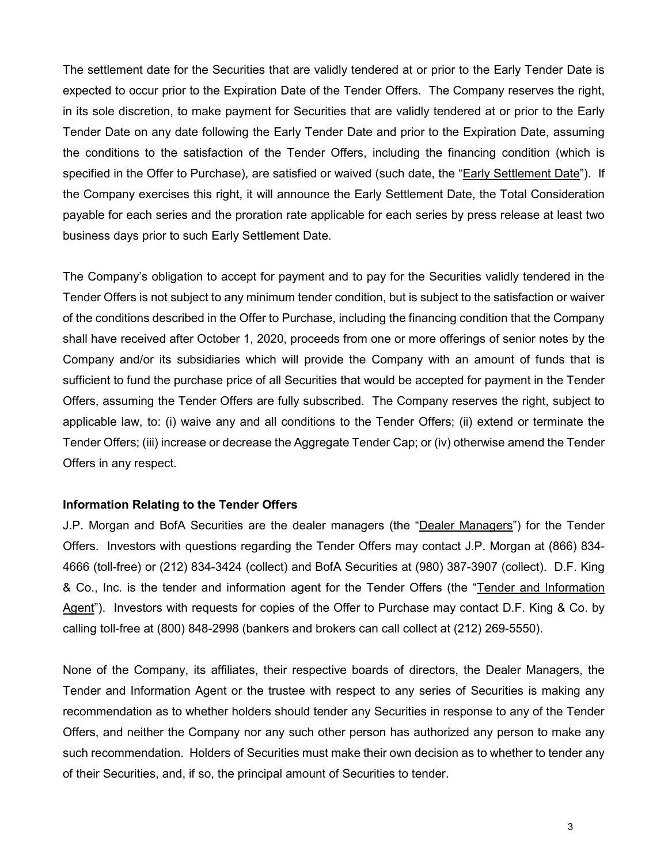The settlement date for the Securities that are validly tendered at or prior to the Early Tender Date is expected to occur prior to the Expiration Date of the Tender Offers. The Company reserves the right, in its sole discretion, to make payment for Securities that are validly tendered at or prior to the Early Tender Date on any date following the Early Tender Date and prior to the Expiration Date, assuming the conditions to the satisfaction of the Tender Offers, including the financing condition (which is specified in the Offer to Purchase), are satisfied or waived (such date, the "Early Settlement Date"). If the Company exercises this right, it will announce the Early Settlement Date, the Total Consideration payable for each series and the proration rate applicable for each series by press release at least two business days prior to such Early Settlement Date.

The Company's obligation to accept for payment and to pay for the Securities validly tendered in the Tender Offers is not subject to any minimum tender condition, but is subject to the satisfaction or waiver of the conditions described in the Offer to Purchase, including the financing condition that the Company shall have received after October 1, 2020, proceeds from one or more offerings of senior notes by the Company and/or its subsidiaries which will provide the Company with an amount of funds that is sufficient to fund the purchase price of all Securities that would be accepted for payment in the Tender Offers, assuming the Tender Offers are fully subscribed. The Company reserves the right, subject to applicable law, to: (i) waive any and all conditions to the Tender Offers; (ii) extend or terminate the Tender Offers; (iii) increase or decrease the Aggregate Tender Cap; or (iv) otherwise amend the Tender Offers in any respect.

## **Information Relating to the Tender Offers**

J.P. Morgan and BofA Securities are the dealer managers (the "Dealer Managers") for the Tender Offers. Investors with questions regarding the Tender Offers may contact J.P. Morgan at (866) 834- 4666 (toll-free) or (212) 834-3424 (collect) and BofA Securities at (980) 387-3907 (collect). D.F. King & Co., Inc. is the tender and information agent for the Tender Offers (the "Tender and Information Agent"). Investors with requests for copies of the Offer to Purchase may contact D.F. King & Co. by calling toll-free at (800) 848-2998 (bankers and brokers can call collect at (212) 269-5550).

None of the Company, its affiliates, their respective boards of directors, the Dealer Managers, the Tender and Information Agent or the trustee with respect to any series of Securities is making any recommendation as to whether holders should tender any Securities in response to any of the Tender Offers, and neither the Company nor any such other person has authorized any person to make any such recommendation. Holders of Securities must make their own decision as to whether to tender any of their Securities, and, if so, the principal amount of Securities to tender.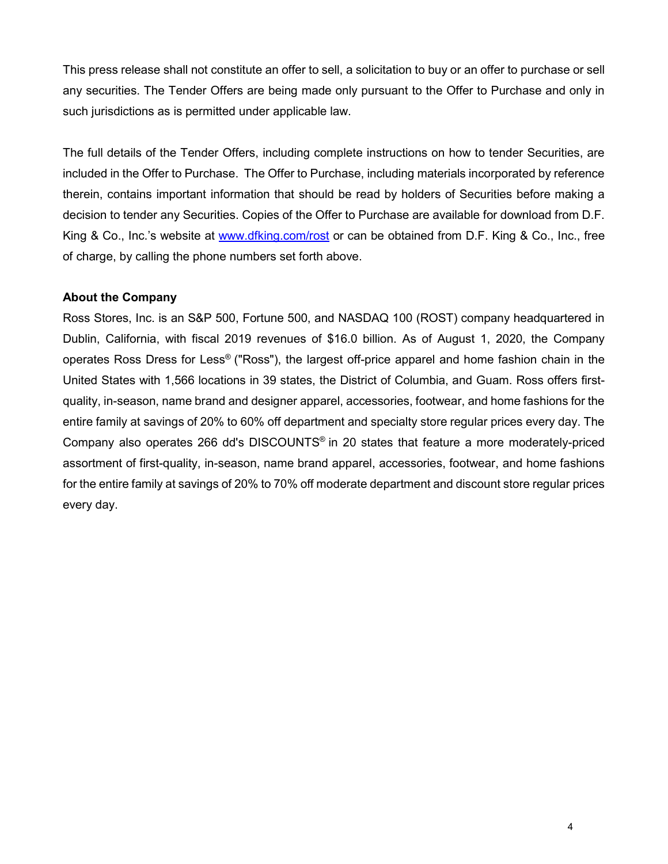This press release shall not constitute an offer to sell, a solicitation to buy or an offer to purchase or sell any securities. The Tender Offers are being made only pursuant to the Offer to Purchase and only in such jurisdictions as is permitted under applicable law.

The full details of the Tender Offers, including complete instructions on how to tender Securities, are included in the Offer to Purchase. The Offer to Purchase, including materials incorporated by reference therein, contains important information that should be read by holders of Securities before making a decision to tender any Securities. Copies of the Offer to Purchase are available for download from D.F. King & Co., Inc.'s website at [www.dfking.com/rost](http://www.dfking.com/rost) or can be obtained from D.F. King & Co., Inc., free of charge, by calling the phone numbers set forth above.

## **About the Company**

Ross Stores, Inc. is an S&P 500, Fortune 500, and NASDAQ 100 (ROST) company headquartered in Dublin, California, with fiscal 2019 revenues of \$16.0 billion. As of August 1, 2020, the Company operates Ross Dress for Less® ("Ross"), the largest off-price apparel and home fashion chain in the United States with 1,566 locations in 39 states, the District of Columbia, and Guam. Ross offers firstquality, in-season, name brand and designer apparel, accessories, footwear, and home fashions for the entire family at savings of 20% to 60% off department and specialty store regular prices every day. The Company also operates 266 dd's DISCOUNTS® in 20 states that feature a more moderately-priced assortment of first-quality, in-season, name brand apparel, accessories, footwear, and home fashions for the entire family at savings of 20% to 70% off moderate department and discount store regular prices every day.